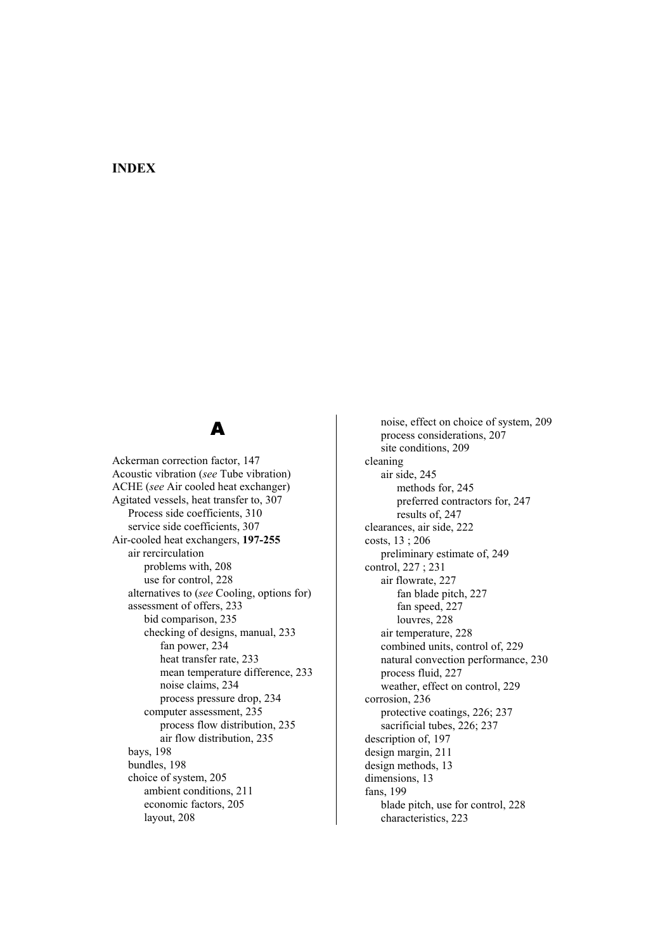### **INDEX**

# A

Ackerman correction factor, 147 Acoustic vibration (*see* Tube vibration) ACHE (*see* Air cooled heat exchanger) Agitated vessels, heat transfer to, 307 Process side coefficients, 310 service side coefficients, 307 Air-cooled heat exchangers, **197-255** air rercirculation problems with, 208 use for control, 228 alternatives to (*see* Cooling, options for) assessment of offers, 233 bid comparison, 235 checking of designs, manual, 233 fan power, 234 heat transfer rate, 233 mean temperature difference, 233 noise claims, 234 process pressure drop, 234 computer assessment, 235 process flow distribution, 235 air flow distribution, 235 bays, 198 bundles, 198 choice of system, 205 ambient conditions, 211 economic factors, 205 layout, 208

 noise, effect on choice of system, 209 process considerations, 207 site conditions, 209 cleaning air side, 245 methods for, 245 preferred contractors for, 247 results of, 247 clearances, air side, 222 costs, 13 ; 206 preliminary estimate of, 249 control, 227 ; 231 air flowrate, 227 fan blade pitch, 227 fan speed, 227 louvres, 228 air temperature, 228 combined units, control of, 229 natural convection performance, 230 process fluid, 227 weather, effect on control, 229 corrosion, 236 protective coatings, 226; 237 sacrificial tubes, 226; 237 description of, 197 design margin, 211 design methods, 13 dimensions, 13 fans, 199 blade pitch, use for control, 228 characteristics, 223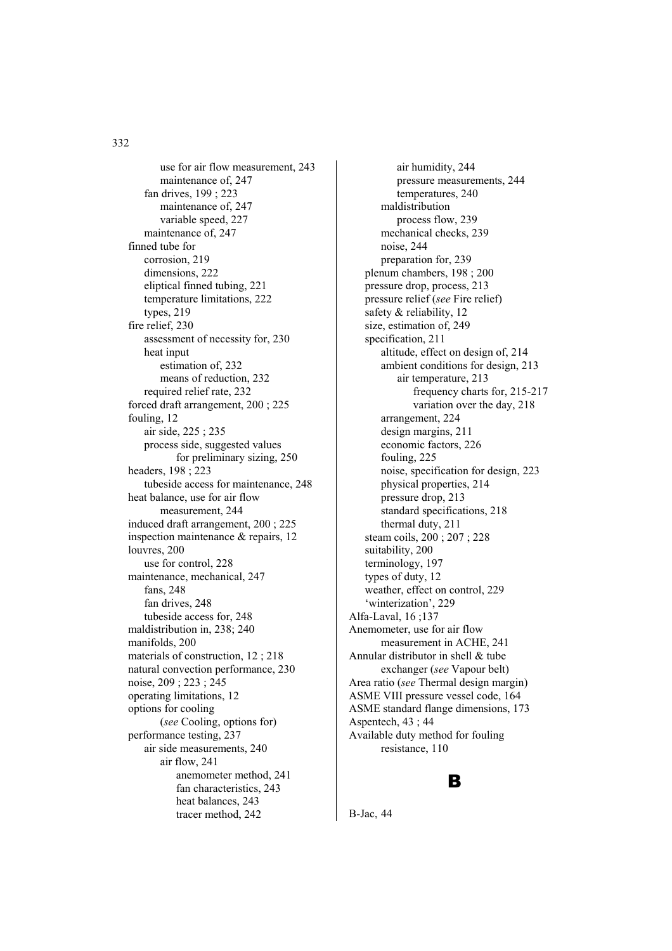use for air flow measurement, 243 maintenance of, 247 fan drives, 199 ; 223 maintenance of, 247 variable speed, 227 maintenance of, 247 finned tube for corrosion, 219 dimensions, 222 eliptical finned tubing, 221 temperature limitations, 222 types, 219 fire relief, 230 assessment of necessity for, 230 heat input estimation of, 232 means of reduction, 232 required relief rate, 232 forced draft arrangement, 200 ; 225 fouling, 12 air side, 225 ; 235 process side, suggested values for preliminary sizing, 250 headers, 198 ; 223 tubeside access for maintenance, 248 heat balance, use for air flow measurement, 244 induced draft arrangement, 200 ; 225 inspection maintenance & repairs, 12 louvres, 200 use for control, 228 maintenance, mechanical, 247 fans, 248 fan drives, 248 tubeside access for, 248 maldistribution in, 238; 240 manifolds, 200 materials of construction, 12 ; 218 natural convection performance, 230 noise, 209 ; 223 ; 245 operating limitations, 12 options for cooling (*see* Cooling, options for) performance testing, 237 air side measurements, 240 air flow, 241 anemometer method, 241 fan characteristics, 243 heat balances, 243 tracer method, 242

 air humidity, 244 pressure measurements, 244 temperatures, 240 maldistribution process flow, 239 mechanical checks, 239 noise, 244 preparation for, 239 plenum chambers, 198 ; 200 pressure drop, process, 213 pressure relief (*see* Fire relief) safety & reliability, 12 size, estimation of, 249 specification, 211 altitude, effect on design of, 214 ambient conditions for design, 213 air temperature, 213 frequency charts for, 215-217 variation over the day, 218 arrangement, 224 design margins, 211 economic factors, 226 fouling, 225 noise, specification for design, 223 physical properties, 214 pressure drop, 213 standard specifications, 218 thermal duty, 211 steam coils, 200 ; 207 ; 228 suitability, 200 terminology, 197 types of duty, 12 weather, effect on control, 229 'winterization', 229 Alfa-Laval, 16 ;137 Anemometer, use for air flow measurement in ACHE, 241 Annular distributor in shell & tube exchanger (*see* Vapour belt) Area ratio (*see* Thermal design margin) ASME VIII pressure vessel code, 164 ASME standard flange dimensions, 173 Aspentech, 43 ; 44 Available duty method for fouling resistance, 110

#### B

B-Jac, 44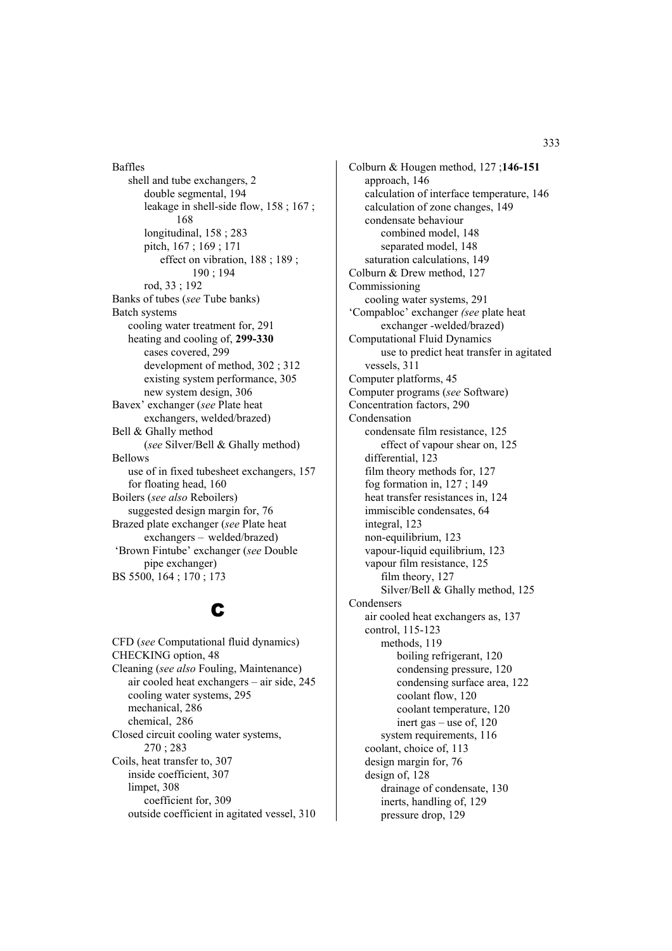Baffles shell and tube exchangers, 2 double segmental, 194 leakage in shell-side flow, 158 ; 167 ; 168 longitudinal, 158 ; 283 pitch, 167 ; 169 ; 171 effect on vibration, 188 ; 189 ; 190 ; 194 rod, 33 ; 192 Banks of tubes (*see* Tube banks) Batch systems cooling water treatment for, 291 heating and cooling of, **299-330** cases covered, 299 development of method, 302 ; 312 existing system performance, 305 new system design, 306 Bavex' exchanger (*see* Plate heat exchangers, welded/brazed) Bell & Ghally method (*see* Silver/Bell & Ghally method) Bellows use of in fixed tubesheet exchangers, 157 for floating head, 160 Boilers (*see also* Reboilers) suggested design margin for, 76 Brazed plate exchanger (*see* Plate heat exchangers – welded/brazed) 'Brown Fintube' exchanger (*see* Double pipe exchanger) BS 5500, 164 ; 170 ; 173

# C

CFD (*see* Computational fluid dynamics) CHECKING option, 48 Cleaning (*see also* Fouling, Maintenance) air cooled heat exchangers – air side, 245 cooling water systems, 295 mechanical, 286 chemical, 286 Closed circuit cooling water systems, 270 ; 283 Coils, heat transfer to, 307 inside coefficient, 307 limpet, 308 coefficient for, 309 outside coefficient in agitated vessel, 310

Colburn & Hougen method, 127 ;**146-151** approach, 146 calculation of interface temperature, 146 calculation of zone changes, 149 condensate behaviour combined model, 148 separated model, 148 saturation calculations, 149 Colburn & Drew method, 127 Commissioning cooling water systems, 291 'Compabloc' exchanger *(see* plate heat exchanger -welded/brazed) Computational Fluid Dynamics use to predict heat transfer in agitated vessels, 311 Computer platforms, 45 Computer programs (*see* Software) Concentration factors, 290 Condensation condensate film resistance, 125 effect of vapour shear on, 125 differential, 123 film theory methods for, 127 fog formation in, 127 ; 149 heat transfer resistances in, 124 immiscible condensates, 64 integral, 123 non-equilibrium, 123 vapour-liquid equilibrium, 123 vapour film resistance, 125 film theory, 127 Silver/Bell & Ghally method, 125 Condensers air cooled heat exchangers as, 137 control, 115-123 methods, 119 boiling refrigerant, 120 condensing pressure, 120 condensing surface area, 122 coolant flow, 120 coolant temperature, 120 inert gas – use of, 120 system requirements, 116 coolant, choice of, 113 design margin for, 76 design of, 128 drainage of condensate, 130 inerts, handling of, 129 pressure drop, 129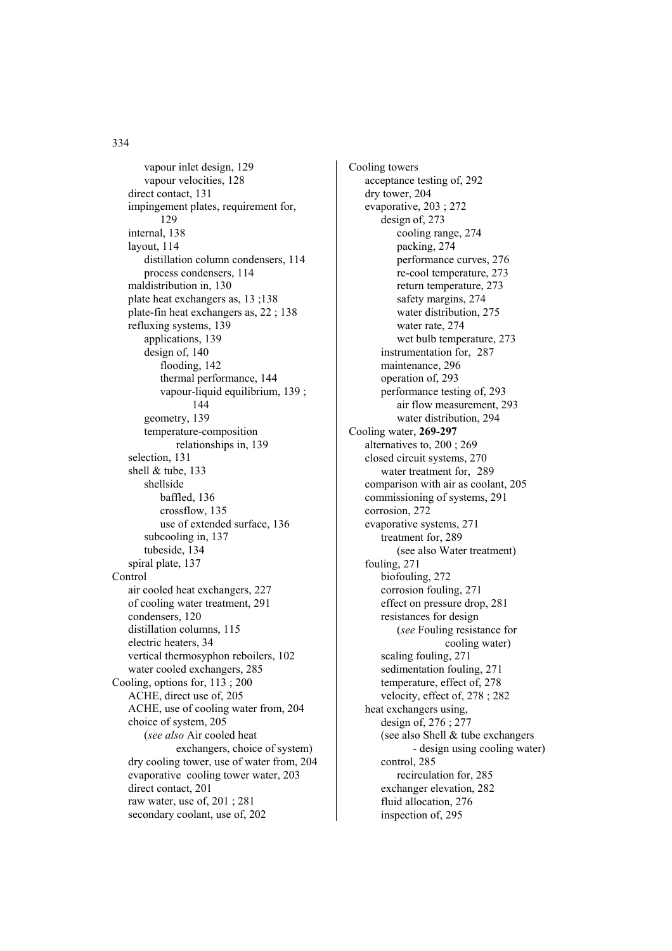vapour inlet design, 129 vapour velocities, 128 direct contact, 131 impingement plates, requirement for, 129 internal, 138 layout, 114 distillation column condensers, 114 process condensers, 114 maldistribution in, 130 plate heat exchangers as, 13 ;138 plate-fin heat exchangers as, 22 ; 138 refluxing systems, 139 applications, 139 design of, 140 flooding, 142 thermal performance, 144 vapour-liquid equilibrium, 139 ; 144 geometry, 139 temperature-composition relationships in, 139 selection, 131 shell & tube, 133 shellside baffled, 136 crossflow, 135 use of extended surface, 136 subcooling in, 137 tubeside, 134 spiral plate, 137 **Control**  air cooled heat exchangers, 227 of cooling water treatment, 291 condensers, 120 distillation columns, 115 electric heaters, 34 vertical thermosyphon reboilers, 102 water cooled exchangers, 285 Cooling, options for, 113 ; 200 ACHE, direct use of, 205 ACHE, use of cooling water from, 204 choice of system, 205 (*see also* Air cooled heat exchangers, choice of system) dry cooling tower, use of water from, 204 evaporative cooling tower water, 203 direct contact, 201 raw water, use of, 201 ; 281 secondary coolant, use of, 202

Cooling towers acceptance testing of, 292 dry tower, 204 evaporative, 203 ; 272 design of, 273 cooling range, 274 packing, 274 performance curves, 276 re-cool temperature, 273 return temperature, 273 safety margins, 274 water distribution, 275 water rate, 274 wet bulb temperature, 273 instrumentation for, 287 maintenance, 296 operation of, 293 performance testing of, 293 air flow measurement, 293 water distribution, 294 Cooling water, **269-297** alternatives to, 200 ; 269 closed circuit systems, 270 water treatment for, 289 comparison with air as coolant, 205 commissioning of systems, 291 corrosion, 272 evaporative systems, 271 treatment for, 289 (see also Water treatment) fouling, 271 biofouling, 272 corrosion fouling, 271 effect on pressure drop, 281 resistances for design (*see* Fouling resistance for cooling water) scaling fouling, 271 sedimentation fouling, 271 temperature, effect of, 278 velocity, effect of, 278 ; 282 heat exchangers using, design of, 276 ; 277 (see also Shell & tube exchangers - design using cooling water) control, 285 recirculation for, 285 exchanger elevation, 282 fluid allocation, 276 inspection of, 295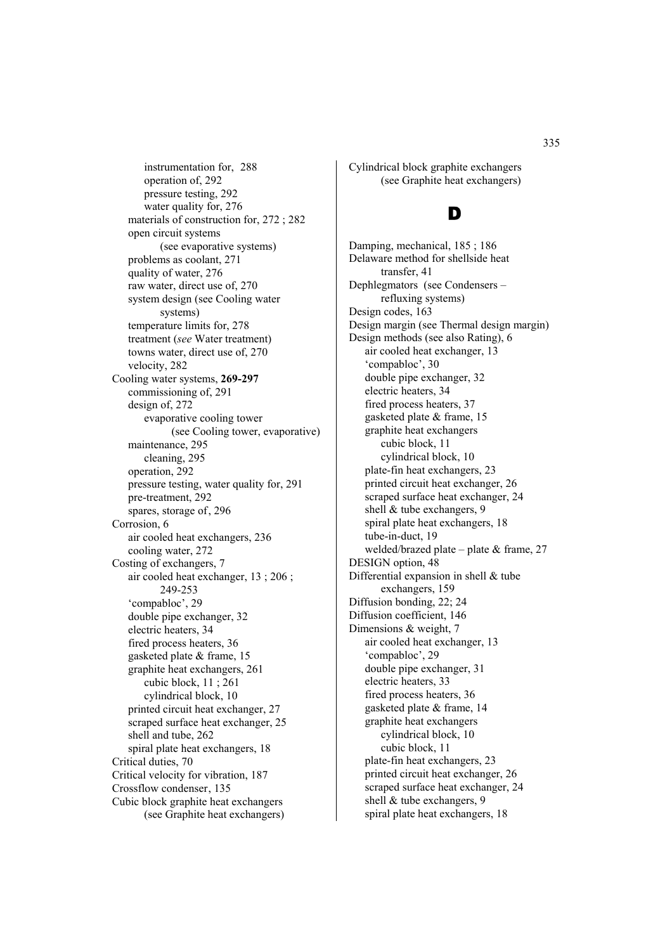instrumentation for, 288 operation of, 292 pressure testing, 292 water quality for, 276 materials of construction for, 272 ; 282 open circuit systems (see evaporative systems) problems as coolant, 271 quality of water, 276 raw water, direct use of, 270 system design (see Cooling water systems) temperature limits for, 278 treatment (*see* Water treatment) towns water, direct use of, 270 velocity, 282 Cooling water systems, **269-297**  commissioning of, 291 design of, 272 evaporative cooling tower (see Cooling tower, evaporative) maintenance, 295 cleaning, 295 operation, 292 pressure testing, water quality for, 291 pre-treatment, 292 spares, storage of, 296 Corrosion, 6 air cooled heat exchangers, 236 cooling water, 272 Costing of exchangers, 7 air cooled heat exchanger, 13 ; 206 ; 249-253 'compabloc', 29 double pipe exchanger, 32 electric heaters, 34 fired process heaters, 36 gasketed plate & frame, 15 graphite heat exchangers, 261 cubic block, 11 ; 261 cylindrical block, 10 printed circuit heat exchanger, 27 scraped surface heat exchanger, 25 shell and tube, 262 spiral plate heat exchangers, 18 Critical duties, 70 Critical velocity for vibration, 187 Crossflow condenser, 135 Cubic block graphite heat exchangers (see Graphite heat exchangers)

Cylindrical block graphite exchangers (see Graphite heat exchangers)

### D

Damping, mechanical, 185 ; 186 Delaware method for shellside heat transfer, 41 Dephlegmators (see Condensers – refluxing systems) Design codes, 163 Design margin (see Thermal design margin) Design methods (see also Rating), 6 air cooled heat exchanger, 13 'compabloc', 30 double pipe exchanger, 32 electric heaters, 34 fired process heaters, 37 gasketed plate & frame, 15 graphite heat exchangers cubic block, 11 cylindrical block, 10 plate-fin heat exchangers, 23 printed circuit heat exchanger, 26 scraped surface heat exchanger, 24 shell & tube exchangers, 9 spiral plate heat exchangers, 18 tube-in-duct, 19 welded/brazed plate – plate & frame, 27 DESIGN option, 48 Differential expansion in shell & tube exchangers, 159 Diffusion bonding, 22; 24 Diffusion coefficient, 146 Dimensions & weight, 7 air cooled heat exchanger, 13 'compabloc', 29 double pipe exchanger, 31 electric heaters, 33 fired process heaters, 36 gasketed plate & frame, 14 graphite heat exchangers cylindrical block, 10 cubic block, 11 plate-fin heat exchangers, 23 printed circuit heat exchanger, 26 scraped surface heat exchanger, 24 shell & tube exchangers, 9 spiral plate heat exchangers, 18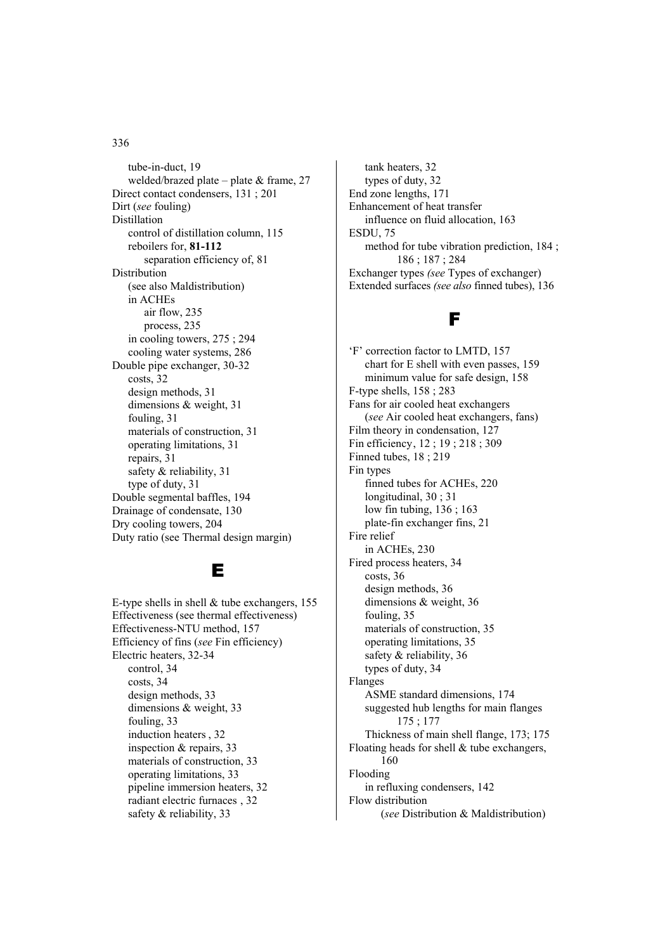tube-in-duct, 19 welded/brazed plate – plate  $&$  frame, 27 Direct contact condensers, 131 ; 201 Dirt (*see* fouling) Distillation control of distillation column, 115 reboilers for, **81-112** separation efficiency of, 81 Distribution (see also Maldistribution) in ACHEs air flow, 235 process, 235 in cooling towers, 275 ; 294 cooling water systems, 286 Double pipe exchanger, 30-32 costs, 32 design methods, 31 dimensions & weight, 31 fouling, 31 materials of construction, 31 operating limitations, 31 repairs, 31 safety & reliability, 31 type of duty, 31 Double segmental baffles, 194 Drainage of condensate, 130 Dry cooling towers, 204 Duty ratio (see Thermal design margin)

## E

E-type shells in shell  $&$  tube exchangers, 155 Effectiveness (see thermal effectiveness) Effectiveness-NTU method, 157 Efficiency of fins (*see* Fin efficiency) Electric heaters, 32-34 control, 34 costs, 34 design methods, 33 dimensions & weight, 33 fouling, 33 induction heaters , 32 inspection & repairs, 33 materials of construction, 33 operating limitations, 33 pipeline immersion heaters, 32 radiant electric furnaces , 32 safety & reliability, 33

 tank heaters, 32 types of duty, 32 End zone lengths, 171 Enhancement of heat transfer influence on fluid allocation, 163 ESDU, 75 method for tube vibration prediction, 184 ; 186 ; 187 ; 284 Exchanger types *(see* Types of exchanger) Extended surfaces *(see also* finned tubes), 136

## F

'F' correction factor to LMTD, 157 chart for E shell with even passes, 159 minimum value for safe design, 158 F-type shells, 158 ; 283 Fans for air cooled heat exchangers (*see* Air cooled heat exchangers, fans) Film theory in condensation, 127 Fin efficiency, 12 ; 19 ; 218 ; 309 Finned tubes, 18 ; 219 Fin types finned tubes for ACHEs, 220 longitudinal, 30 ; 31 low fin tubing, 136 ; 163 plate-fin exchanger fins, 21 Fire relief in ACHEs, 230 Fired process heaters, 34 costs, 36 design methods, 36 dimensions & weight, 36 fouling, 35 materials of construction, 35 operating limitations, 35 safety & reliability, 36 types of duty, 34 Flanges ASME standard dimensions, 174 suggested hub lengths for main flanges 175 ; 177 Thickness of main shell flange, 173; 175 Floating heads for shell & tube exchangers, 160 Flooding in refluxing condensers, 142 Flow distribution (*see* Distribution & Maldistribution)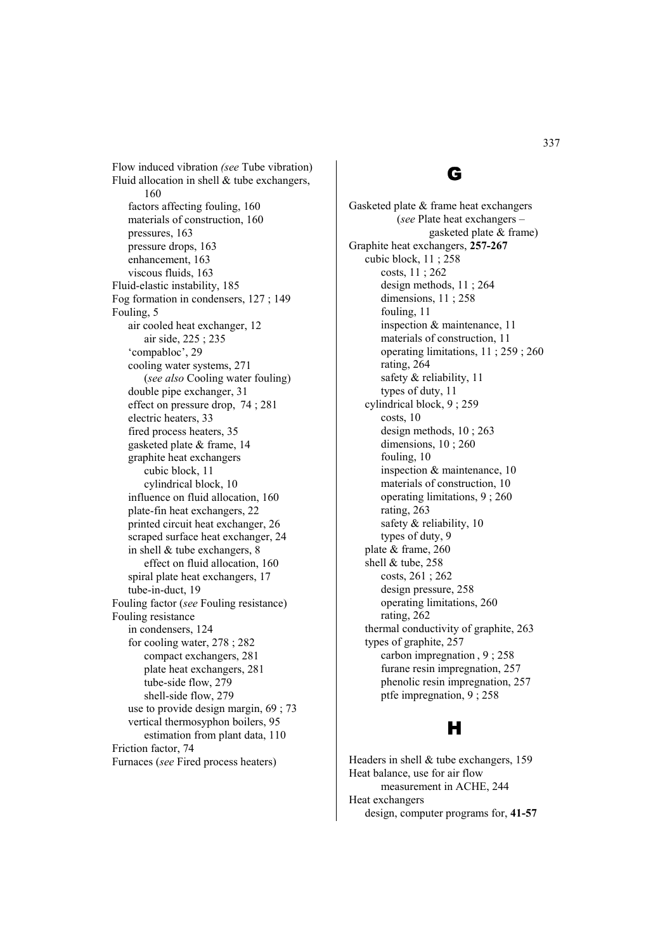Flow induced vibration *(see* Tube vibration) Fluid allocation in shell & tube exchangers, 160 factors affecting fouling, 160 materials of construction, 160 pressures, 163 pressure drops, 163 enhancement, 163 viscous fluids, 163 Fluid-elastic instability, 185 Fog formation in condensers, 127 ; 149 Fouling, 5 air cooled heat exchanger, 12 air side, 225 ; 235 'compabloc', 29 cooling water systems, 271 (*see also* Cooling water fouling) double pipe exchanger, 31 effect on pressure drop, 74 ; 281 electric heaters, 33 fired process heaters, 35 gasketed plate & frame, 14 graphite heat exchangers cubic block, 11 cylindrical block, 10 influence on fluid allocation, 160 plate-fin heat exchangers, 22 printed circuit heat exchanger, 26 scraped surface heat exchanger, 24 in shell & tube exchangers, 8 effect on fluid allocation, 160 spiral plate heat exchangers, 17 tube-in-duct, 19 Fouling factor (*see* Fouling resistance) Fouling resistance in condensers, 124 for cooling water, 278 ; 282 compact exchangers, 281 plate heat exchangers, 281 tube-side flow, 279 shell-side flow, 279 use to provide design margin, 69 ; 73 vertical thermosyphon boilers, 95 estimation from plant data, 110 Friction factor, 74 Furnaces (*see* Fired process heaters)

## G

Gasketed plate & frame heat exchangers (*see* Plate heat exchangers – gasketed plate & frame) Graphite heat exchangers, **257-267** cubic block, 11 ; 258 costs, 11 ; 262 design methods, 11 ; 264 dimensions, 11 ; 258 fouling, 11 inspection & maintenance, 11 materials of construction, 11 operating limitations, 11 ; 259 ; 260 rating, 264 safety & reliability, 11 types of duty, 11 cylindrical block, 9 ; 259 costs, 10 design methods, 10 ; 263 dimensions, 10; 260 fouling, 10 inspection & maintenance, 10 materials of construction, 10 operating limitations, 9 ; 260 rating, 263 safety & reliability, 10 types of duty, 9 plate & frame, 260 shell & tube, 258 costs, 261 ; 262 design pressure, 258 operating limitations, 260 rating, 262 thermal conductivity of graphite, 263 types of graphite, 257 carbon impregnation , 9 ; 258 furane resin impregnation, 257 phenolic resin impregnation, 257 ptfe impregnation, 9 ; 258

# H

Headers in shell & tube exchangers, 159 Heat balance, use for air flow measurement in ACHE, 244 Heat exchangers design, computer programs for, **41-57**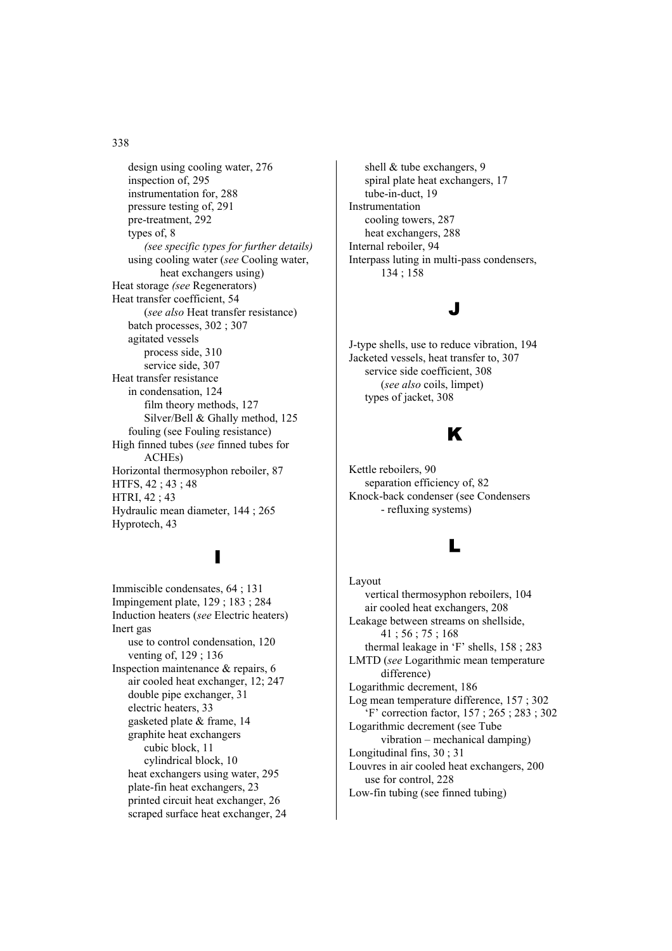design using cooling water, 276 inspection of, 295 instrumentation for, 288 pressure testing of, 291 pre-treatment, 292 types of, 8 *(see specific types for further details)*  using cooling water (*see* Cooling water, heat exchangers using) Heat storage *(see* Regenerators) Heat transfer coefficient, 54 (*see also* Heat transfer resistance) batch processes, 302 ; 307 agitated vessels process side, 310 service side, 307 Heat transfer resistance in condensation, 124 film theory methods, 127 Silver/Bell & Ghally method, 125 fouling (see Fouling resistance) High finned tubes (*see* finned tubes for ACHEs) Horizontal thermosyphon reboiler, 87 HTFS, 42 ; 43 ; 48 HTRI, 42 ; 43 Hydraulic mean diameter, 144 ; 265 Hyprotech, 43

# I

Immiscible condensates, 64 ; 131 Impingement plate, 129 ; 183 ; 284 Induction heaters (*see* Electric heaters) Inert gas use to control condensation, 120 venting of, 129 ; 136 Inspection maintenance & repairs, 6 air cooled heat exchanger, 12; 247 double pipe exchanger, 31 electric heaters, 33 gasketed plate & frame, 14 graphite heat exchangers cubic block, 11 cylindrical block, 10 heat exchangers using water, 295 plate-fin heat exchangers, 23 printed circuit heat exchanger, 26 scraped surface heat exchanger, 24

shell & tube exchangers, 9 spiral plate heat exchangers, 17 tube-in-duct, 19 Instrumentation cooling towers, 287 heat exchangers, 288 Internal reboiler, 94 Interpass luting in multi-pass condensers, 134 ; 158

### J

J-type shells, use to reduce vibration, 194 Jacketed vessels, heat transfer to, 307 service side coefficient, 308 (*see also* coils, limpet) types of jacket, 308

## K

Kettle reboilers, 90 separation efficiency of, 82 Knock-back condenser (see Condensers - refluxing systems)

### L

Layout vertical thermosyphon reboilers, 104 air cooled heat exchangers, 208 Leakage between streams on shellside, 41 ; 56 ; 75 ; 168 thermal leakage in 'F' shells, 158 ; 283 LMTD (*see* Logarithmic mean temperature difference) Logarithmic decrement, 186 Log mean temperature difference, 157 ; 302 'F' correction factor, 157 ; 265 ; 283 ; 302 Logarithmic decrement (see Tube vibration – mechanical damping) Longitudinal fins, 30 ; 31 Louvres in air cooled heat exchangers, 200 use for control, 228 Low-fin tubing (see finned tubing)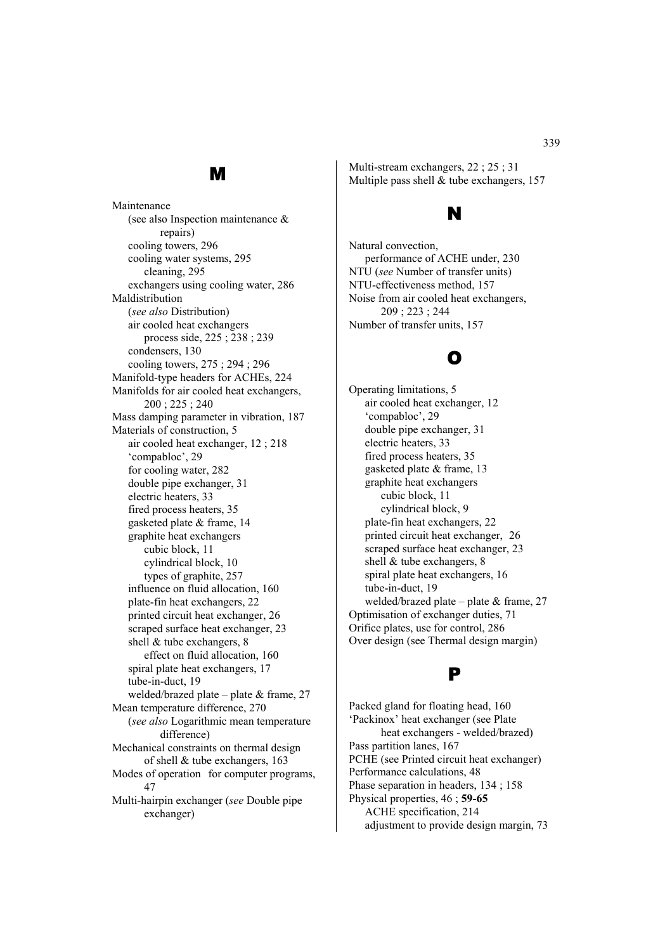## M

Maintenance (see also Inspection maintenance & repairs) cooling towers, 296 cooling water systems, 295 cleaning, 295 exchangers using cooling water, 286 Maldistribution (*see also* Distribution) air cooled heat exchangers process side, 225 ; 238 ; 239 condensers, 130 cooling towers, 275 ; 294 ; 296 Manifold-type headers for ACHEs, 224 Manifolds for air cooled heat exchangers, 200 ; 225 ; 240 Mass damping parameter in vibration, 187 Materials of construction, 5 air cooled heat exchanger, 12 ; 218 'compabloc', 29 for cooling water, 282 double pipe exchanger, 31 electric heaters, 33 fired process heaters, 35 gasketed plate & frame, 14 graphite heat exchangers cubic block, 11 cylindrical block, 10 types of graphite, 257 influence on fluid allocation, 160 plate-fin heat exchangers, 22 printed circuit heat exchanger, 26 scraped surface heat exchanger, 23 shell & tube exchangers, 8 effect on fluid allocation, 160 spiral plate heat exchangers, 17 tube-in-duct, 19 welded/brazed plate – plate & frame, 27 Mean temperature difference, 270 (*see also* Logarithmic mean temperature difference) Mechanical constraints on thermal design of shell & tube exchangers, 163 Modes of operation for computer programs, 47 Multi-hairpin exchanger (*see* Double pipe exchanger)

Multi-stream exchangers, 22 ; 25 ; 31 Multiple pass shell & tube exchangers, 157

## N

Natural convection, performance of ACHE under, 230 NTU (*see* Number of transfer units) NTU-effectiveness method, 157 Noise from air cooled heat exchangers, 209 ; 223 ; 244 Number of transfer units, 157

# O

Operating limitations, 5 air cooled heat exchanger, 12 'compabloc', 29 double pipe exchanger, 31 electric heaters, 33 fired process heaters, 35 gasketed plate & frame, 13 graphite heat exchangers cubic block, 11 cylindrical block, 9 plate-fin heat exchangers, 22 printed circuit heat exchanger, 26 scraped surface heat exchanger, 23 shell & tube exchangers, 8 spiral plate heat exchangers, 16 tube-in-duct, 19 welded/brazed plate – plate  $&$  frame, 27 Optimisation of exchanger duties, 71 Orifice plates, use for control, 286 Over design (see Thermal design margin)

## P

Packed gland for floating head, 160 'Packinox' heat exchanger (see Plate heat exchangers - welded/brazed) Pass partition lanes, 167 PCHE (see Printed circuit heat exchanger) Performance calculations, 48 Phase separation in headers, 134 ; 158 Physical properties, 46 ; **59-65** ACHE specification, 214 adjustment to provide design margin, 73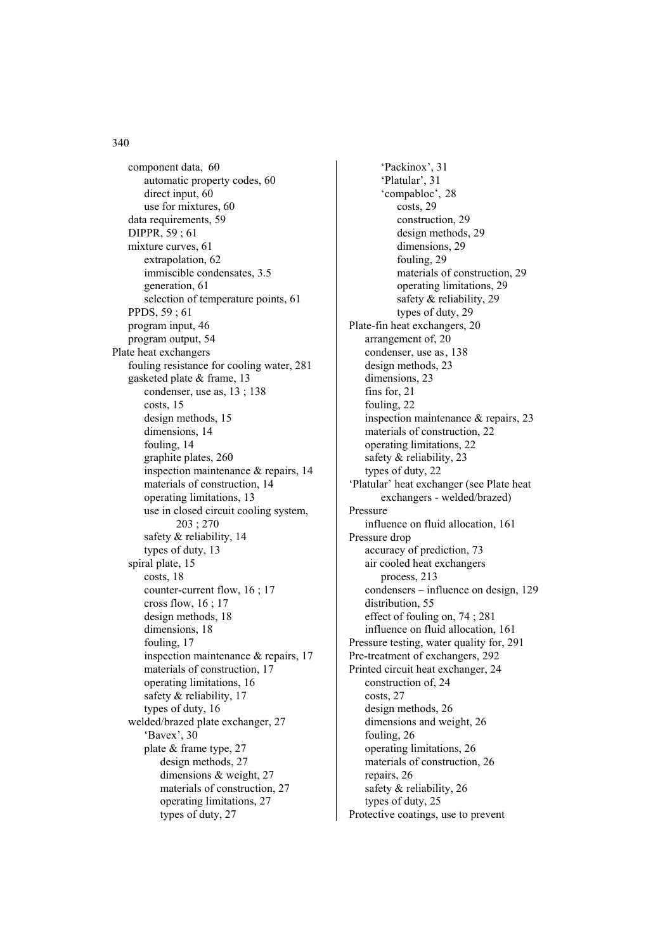component data, 60 automatic property codes, 60 direct input, 60 use for mixtures, 60 data requirements, 59 DIPPR, 59 ; 61 mixture curves, 61 extrapolation, 62 immiscible condensates, 3.5 generation, 61 selection of temperature points, 61 PPDS, 59 ; 61 program input, 46 program output, 54 Plate heat exchangers fouling resistance for cooling water, 281 gasketed plate & frame, 13 condenser, use as, 13 ; 138 costs, 15 design methods, 15 dimensions, 14 fouling, 14 graphite plates, 260 inspection maintenance & repairs, 14 materials of construction, 14 operating limitations, 13 use in closed circuit cooling system, 203 ; 270 safety & reliability, 14 types of duty, 13 spiral plate, 15 costs, 18 counter-current flow, 16 ; 17 cross flow, 16 ; 17 design methods, 18 dimensions, 18 fouling, 17 inspection maintenance & repairs, 17 materials of construction, 17 operating limitations, 16 safety & reliability, 17 types of duty, 16 welded/brazed plate exchanger, 27 'Bavex', 30 plate & frame type, 27 design methods, 27 dimensions & weight, 27 materials of construction, 27 operating limitations, 27 types of duty, 27

 'Packinox', 31 'Platular', 31 'compabloc', 28 costs, 29 construction, 29 design methods, 29 dimensions, 29 fouling, 29 materials of construction, 29 operating limitations, 29 safety & reliability, 29 types of duty, 29 Plate-fin heat exchangers, 20 arrangement of, 20 condenser, use as, 138 design methods, 23 dimensions, 23 fins for, 21 fouling, 22 inspection maintenance & repairs, 23 materials of construction, 22 operating limitations, 22 safety & reliability, 23 types of duty, 22 'Platular' heat exchanger (see Plate heat exchangers - welded/brazed) Pressure influence on fluid allocation, 161 Pressure drop accuracy of prediction, 73 air cooled heat exchangers process, 213 condensers – influence on design, 129 distribution, 55 effect of fouling on, 74 ; 281 influence on fluid allocation, 161 Pressure testing, water quality for, 291 Pre-treatment of exchangers, 292 Printed circuit heat exchanger, 24 construction of, 24 costs, 27 design methods, 26 dimensions and weight, 26 fouling, 26 operating limitations, 26 materials of construction, 26 repairs, 26 safety & reliability, 26 types of duty, 25 Protective coatings, use to prevent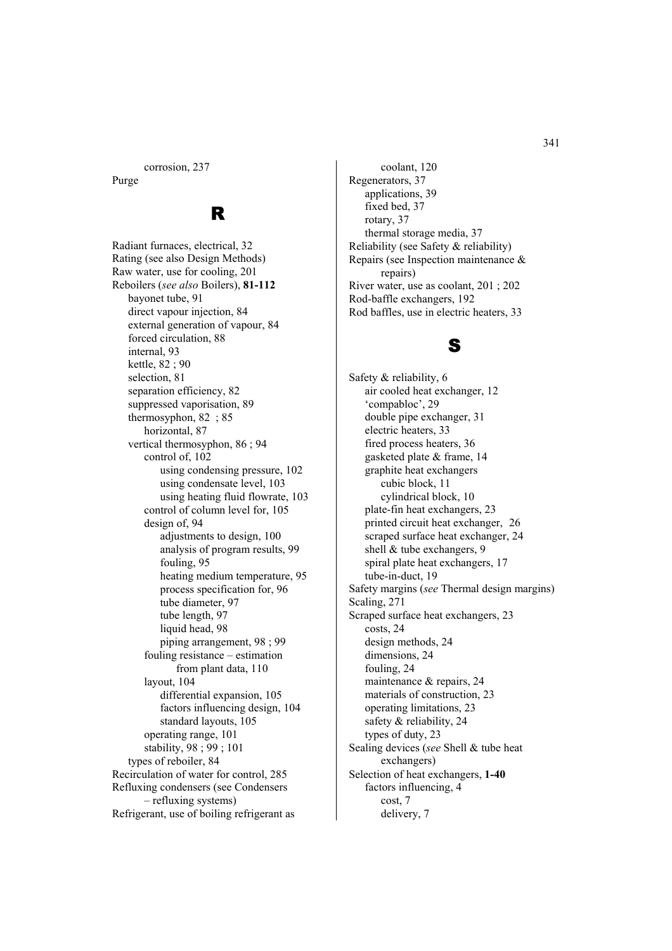corrosion, 237

Purge

## R

Radiant furnaces, electrical, 32 Rating (see also Design Methods) Raw water, use for cooling, 201 Reboilers (*see also* Boilers), **81-112** bayonet tube, 91 direct vapour injection, 84 external generation of vapour, 84 forced circulation, 88 internal, 93 kettle, 82 ; 90 selection, 81 separation efficiency, 82 suppressed vaporisation, 89 thermosyphon, 82 ; 85 horizontal, 87 vertical thermosyphon, 86 ; 94 control of, 102 using condensing pressure, 102 using condensate level, 103 using heating fluid flowrate, 103 control of column level for, 105 design of, 94 adjustments to design, 100 analysis of program results, 99 fouling, 95 heating medium temperature, 95 process specification for, 96 tube diameter, 97 tube length, 97 liquid head, 98 piping arrangement, 98 ; 99 fouling resistance – estimation from plant data, 110 layout, 104 differential expansion, 105 factors influencing design, 104 standard layouts, 105 operating range, 101 stability, 98 ; 99 ; 101 types of reboiler, 84 Recirculation of water for control, 285 Refluxing condensers (see Condensers – refluxing systems) Refrigerant, use of boiling refrigerant as

 coolant, 120 Regenerators, 37 applications, 39 fixed bed, 37 rotary, 37 thermal storage media, 37 Reliability (see Safety & reliability) Repairs (see Inspection maintenance & repairs) River water, use as coolant, 201 ; 202 Rod-baffle exchangers, 192 Rod baffles, use in electric heaters, 33

### S

Safety & reliability, 6 air cooled heat exchanger, 12 'compabloc', 29 double pipe exchanger, 31 electric heaters, 33 fired process heaters, 36 gasketed plate & frame, 14 graphite heat exchangers cubic block, 11 cylindrical block, 10 plate-fin heat exchangers, 23 printed circuit heat exchanger, 26 scraped surface heat exchanger, 24 shell & tube exchangers, 9 spiral plate heat exchangers, 17 tube-in-duct, 19 Safety margins (*see* Thermal design margins) Scaling, 271 Scraped surface heat exchangers, 23 costs, 24 design methods, 24 dimensions, 24 fouling, 24 maintenance & repairs, 24 materials of construction, 23 operating limitations, 23 safety & reliability, 24 types of duty, 23 Sealing devices (*see* Shell & tube heat exchangers) Selection of heat exchangers, **1-40** factors influencing, 4 cost, 7 delivery, 7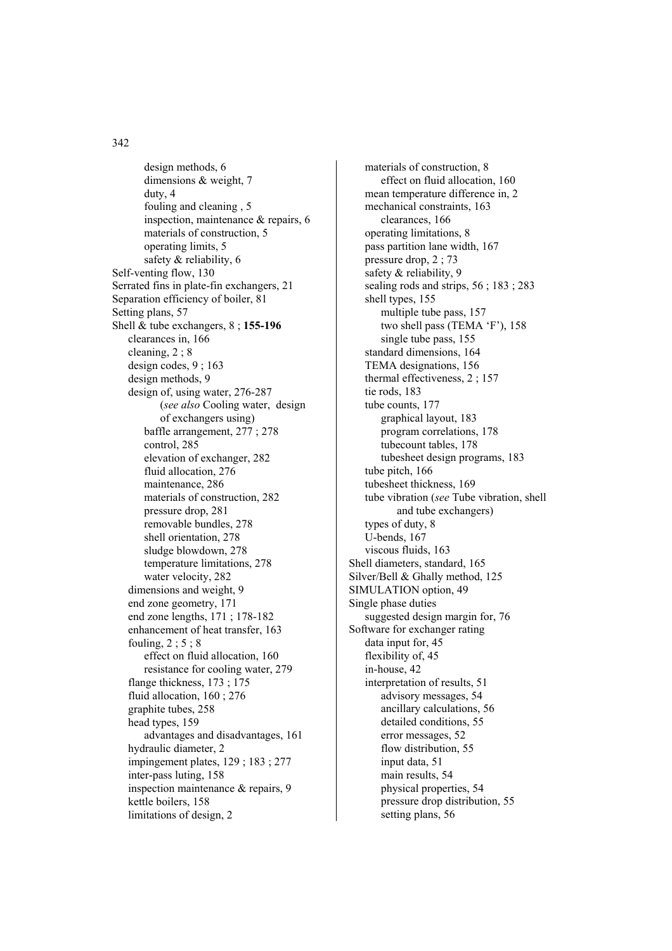design methods, 6 dimensions & weight, 7 duty, 4 fouling and cleaning , 5 inspection, maintenance & repairs, 6 materials of construction, 5 operating limits, 5 safety & reliability, 6 Self-venting flow, 130 Serrated fins in plate-fin exchangers, 21 Separation efficiency of boiler, 81 Setting plans, 57 Shell & tube exchangers, 8 ; **155-196** clearances in, 166 cleaning, 2 ; 8 design codes, 9 ; 163 design methods, 9 design of, using water, 276-287 (*see also* Cooling water, design of exchangers using) baffle arrangement, 277 ; 278 control, 285 elevation of exchanger, 282 fluid allocation, 276 maintenance, 286 materials of construction, 282 pressure drop, 281 removable bundles, 278 shell orientation, 278 sludge blowdown, 278 temperature limitations, 278 water velocity, 282 dimensions and weight, 9 end zone geometry, 171 end zone lengths, 171 ; 178-182 enhancement of heat transfer, 163 fouling,  $2:5:8$  effect on fluid allocation, 160 resistance for cooling water, 279 flange thickness, 173 ; 175 fluid allocation, 160 ; 276 graphite tubes, 258 head types, 159 advantages and disadvantages, 161 hydraulic diameter, 2 impingement plates, 129 ; 183 ; 277 inter-pass luting, 158 inspection maintenance & repairs, 9 kettle boilers, 158 limitations of design, 2

 materials of construction, 8 effect on fluid allocation, 160 mean temperature difference in, 2 mechanical constraints, 163 clearances, 166 operating limitations, 8 pass partition lane width, 167 pressure drop, 2 ; 73 safety & reliability, 9 sealing rods and strips, 56 ; 183 ; 283 shell types, 155 multiple tube pass, 157 two shell pass (TEMA 'F'), 158 single tube pass, 155 standard dimensions, 164 TEMA designations, 156 thermal effectiveness, 2 ; 157 tie rods, 183 tube counts, 177 graphical layout, 183 program correlations, 178 tubecount tables, 178 tubesheet design programs, 183 tube pitch, 166 tubesheet thickness, 169 tube vibration (*see* Tube vibration, shell and tube exchangers) types of duty, 8 U-bends, 167 viscous fluids, 163 Shell diameters, standard, 165 Silver/Bell & Ghally method, 125 SIMULATION option, 49 Single phase duties suggested design margin for, 76 Software for exchanger rating data input for, 45 flexibility of, 45 in-house, 42 interpretation of results, 51 advisory messages, 54 ancillary calculations, 56 detailed conditions, 55 error messages, 52 flow distribution, 55 input data, 51 main results, 54 physical properties, 54 pressure drop distribution, 55 setting plans, 56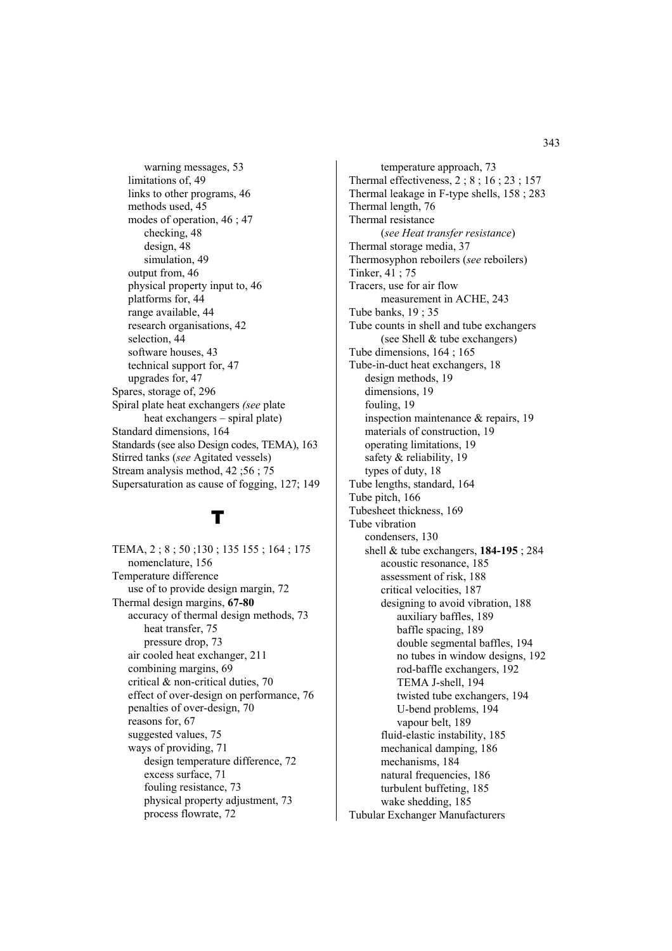warning messages, 53 limitations of, 49 links to other programs, 46 methods used, 45 modes of operation, 46 ; 47 checking, 48 design, 48 simulation, 49 output from, 46 physical property input to, 46 platforms for, 44 range available, 44 research organisations, 42 selection, 44 software houses, 43 technical support for, 47 upgrades for, 47 Spares, storage of, 296 Spiral plate heat exchangers *(see* plate heat exchangers – spiral plate) Standard dimensions, 164 Standards (see also Design codes, TEMA), 163 Stirred tanks (*see* Agitated vessels) Stream analysis method, 42 ;56 ; 75 Supersaturation as cause of fogging, 127; 149

# T

TEMA, 2 ; 8 ; 50 ;130 ; 135 155 ; 164 ; 175 nomenclature, 156 Temperature difference use of to provide design margin, 72 Thermal design margins, **67-80**  accuracy of thermal design methods, 73 heat transfer, 75 pressure drop, 73 air cooled heat exchanger, 211 combining margins, 69 critical & non-critical duties, 70 effect of over-design on performance, 76 penalties of over-design, 70 reasons for, 67 suggested values, 75 ways of providing, 71 design temperature difference, 72 excess surface, 71 fouling resistance, 73 physical property adjustment, 73 process flowrate, 72

 temperature approach, 73 Thermal effectiveness, 2 ; 8 ; 16 ; 23 ; 157 Thermal leakage in F-type shells, 158 ; 283 Thermal length, 76 Thermal resistance (*see Heat transfer resistance*) Thermal storage media, 37 Thermosyphon reboilers (*see* reboilers) Tinker, 41 ; 75 Tracers, use for air flow measurement in ACHE, 243 Tube banks, 19 ; 35 Tube counts in shell and tube exchangers (see Shell & tube exchangers) Tube dimensions, 164 ; 165 Tube-in-duct heat exchangers, 18 design methods, 19 dimensions, 19 fouling, 19 inspection maintenance & repairs, 19 materials of construction, 19 operating limitations, 19 safety & reliability, 19 types of duty, 18 Tube lengths, standard, 164 Tube pitch, 166 Tubesheet thickness, 169 Tube vibration condensers, 130 shell & tube exchangers, **184-195** ; 284 acoustic resonance, 185 assessment of risk, 188 critical velocities, 187 designing to avoid vibration, 188 auxiliary baffles, 189 baffle spacing, 189 double segmental baffles, 194 no tubes in window designs, 192 rod-baffle exchangers, 192 TEMA J-shell, 194 twisted tube exchangers, 194 U-bend problems, 194 vapour belt, 189 fluid-elastic instability, 185 mechanical damping, 186 mechanisms, 184 natural frequencies, 186 turbulent buffeting, 185 wake shedding, 185 Tubular Exchanger Manufacturers